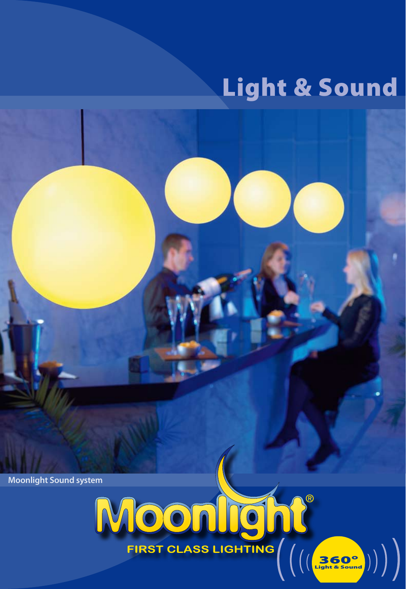# Light & Sound

**Moonlight Sound system** 

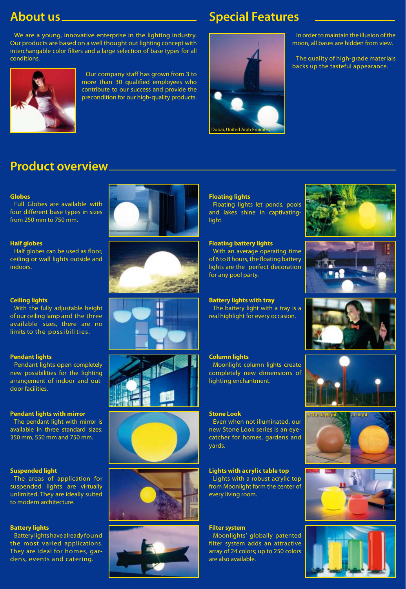## **About us**

### **Special Features**

We are a young, innovative enterprise in the lighting industry. Our products are based on a well thought out lighting concept with interchangable color filters and a large selection of base types for all conditions.



Our company staff has grown from 3 to more than 30 qualified employees who contribute to our success and provide the precondition for our high-quality products.



In order to maintain the illusion of the moon, all bases are hidden from view.

The quality of high-grade materials backs up the tasteful appearance.

# **Product overview**

#### **Globes**

Full Globes are available with four different base types in sizes from 250 mm to 750 mm.

#### **Half globes**

Half globes can be used as floor, ceiling or wall lights outside and indoors.



With the fully adjustable height of our ceiling lamp and the three available sizes, there are no limits to the possibilities.

#### **Pendant lights**

Pendant lights open completely new possibilities for the lighting arrangement of indoor and outdoor facilities.

#### **Pendant lights with mirror**

The pendant light with mirror is available in three standard sizes: 350 mm, 550 mm and 750 mm.

#### **Suspended light**

The areas of application for suspended lights are virtually unlimited. They are ideally suited to modern architecture.

#### **Battery lights**

Battery lights have already found the most varied applications. They are ideal for homes, gardens, events and catering.















#### **Floating lights**

Floating lights let ponds, pools and lakes shine in captivatinglight.

#### **Floating battery lights**

With an average operating time of 6 to 8 hours, the floating battery lights are the perfect decoration for any pool party.

### **Battery lights with tray**

The battery light with a tray is a real highlight for every occasion.

#### **Column lights**

Moonlight column lights create completely new dimensions of lighting enchantment.

#### **Stone Look**

Even when not illuminated, our new Stone Look series is an eyecatcher for homes, gardens and yards.

#### **Lights with acrylic table top**

Lights with a robust acrylic top from Moonlight form the center of every living room.

#### **Filter system**

Moonlights' globally patented filter system adds an attractive array of 24 colors; up to 250 colors are also available.













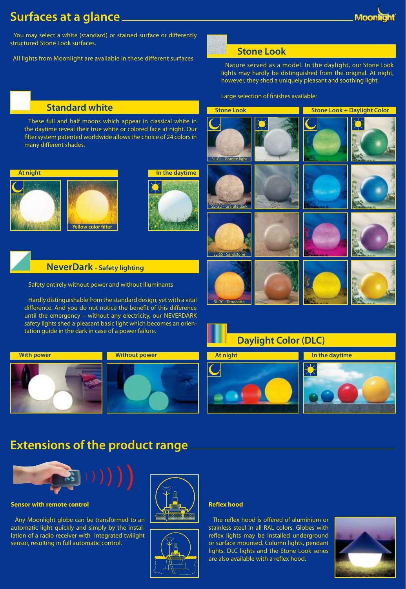### **Moon**

### **Surfaces at a glance**

 You may select a white (standard) or stained surface or differently structured Stone Look surfaces.

All lights from Moonlight are available in these different surfaces



**Stone Look**

Nature served as a model. In the daylight, our Stone Look lights may hardly be distinguished from the original. At night, however, they shed a uniquely pleasant and soothing light.

**Stone Look Stone Look + Daylight Color** 

Large selection of finishes available:

### **Standard white**

These full and half moons which appear in classical white in the daytime reveal their true white or colored face at night. Our filter system patented worldwide allows the choice of 24 colors in many different shades.





### **NeverDark - Safety lighting**

Safety entirely without power and without illuminants

Hardly distinguishable from the standard design, yet with a vital difference. And you do not notice the benefit of this difference until the emergency – without any electricity, our NEVERDARK safety lights shed a pleasant basic light which becomes an orientation guide in the dark in case of a power failure.













### **Extensions of the product range**



**Sensor with remote control**

Any Moonlight globe can be transformed to an automatic light quickly and simply by the installation of a radio receiver with integrated twilight sensor, resulting in full automatic control.





#### **Reflex hood**

The reflex hood is offered of aluminium or stainless steel in all RAL colors. Globes with reflex lights may be installed underground or surface mounted. Column lights, pendant lights, DLC lights and the Stone Look series are also available with a reflex hood.

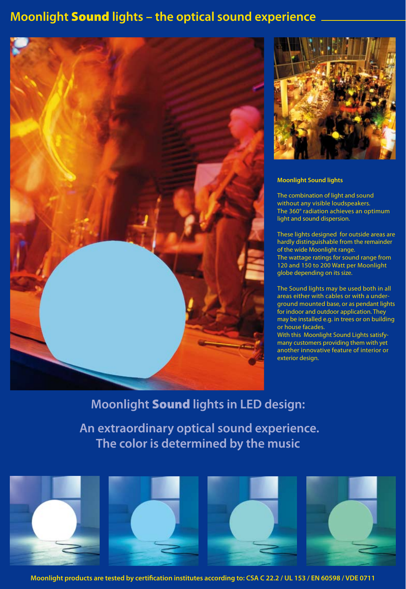### **Moonlight** Sound **lights – the optical sound experience**





#### **Moonlight Sound lights**

The combination of light and sound without any visible loudspeakers. The 360° radiation achieves an optimum light and sound dispersion.

These lights designed for outside areas are hardly distinguishable from the remainder of the wide Moonlight range. The wattage ratings for sound range from 120 and 150 to 200 Watt per Moonlight globe depending on its size.

The Sound lights may be used both in all areas either with cables or with a underground mounted base, or as pendant lights for indoor and outdoor application. They may be installed e.g. in trees or on building or house facades.

With this Moonlight Sound Lights satisfymany customers providing them with yet another innovative feature of interior or exterior design.

### **Moonlight** Sound **lights in LED design:**

 **An extraordinary optical sound experience. The color is determined by the music**





**Moonlight products are tested by certification institutes according to: CSA C 22.2 / UL 153 / EN 60598 / VDE 0711**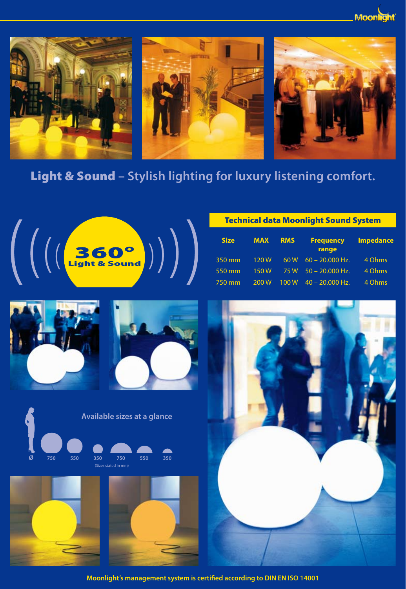**Moor** 



# Light & Sound **– Stylish lighting for luxury listening comfort.**



### Technical data Moonlight Sound System

| <b>Size</b> | <b>MAX</b> | <b>RMS</b> | <b>Frequency</b><br>range | <b>Impedance</b> |
|-------------|------------|------------|---------------------------|------------------|
| 350 mm      | 120W       | 60 W       | $60 - 20.000$ Hz.         | 4 Ohms           |
| 550 mm      | 150W       | 75 W       | $50 - 20,000$ Hz.         | 4 Ohms           |
| 750 mm      | 200 W      | 100 W      | $40 - 20,000$ Hz.         | 4 Ohms           |













**Moonlight's management system is certified according to DIN EN ISO 14001**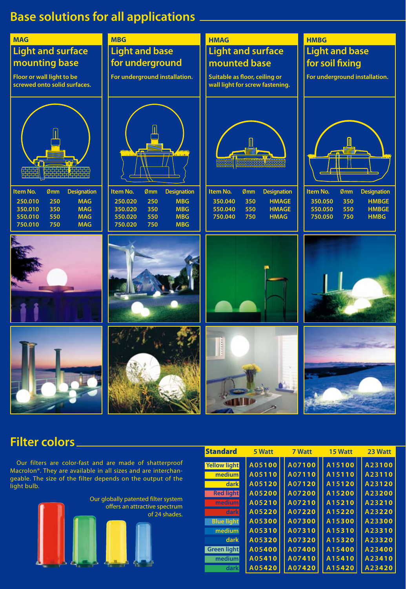### **Base solutions for all applications**



### **Filter colors**

 Our filters are color-fast and are made of shatterproof Macrolon®. They are available in all sizes and are interchangeable. The size of the filter depends on the output of the light bulb.



| <b>Standard</b>   | 5 Watt | 7 Watt | 15 Watt | 23 Watt |
|-------------------|--------|--------|---------|---------|
| Yellow light      | A05100 | A07100 | A15100  | A23100  |
| medium            | A05110 | A07110 | A15110  | A23110  |
| dark              | A05120 | A07120 | A15120  | A23120  |
| <b>Red light</b>  | A05200 | A07200 | A15200  | A23200  |
| medium            | A05210 | A07210 | A15210  | A23210  |
| darkl             | A05220 | A07220 | A15220  | A23220  |
| <b>Blue light</b> | A05300 | A07300 | A15300  | A23300  |
| medium            | A05310 | A07310 | A15310  | A23310  |
| dark              | A05320 | A07320 | A15320  | A23320  |
| Green light       | A05400 | A07400 | A15400  | A23400  |
| medium            | A05410 | A07410 | A15410  | A23410  |
| dark              | A05420 | A07420 | A15420  | A23420  |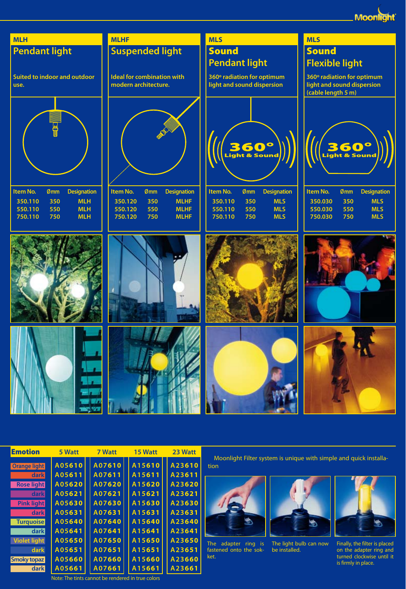**Moonlight** 



| <b>Emotion</b>      | 5 Watt | <b>7 Watt</b> | 15 Watt | 23 Watt |
|---------------------|--------|---------------|---------|---------|
| <b>Orange light</b> | A05610 | A07610        | A15610  | A23610  |
| dark                | A05611 | A07611        | A15611  | A23611  |
| <b>Rose light</b>   | A05620 | A07620        | A15620  | A23620  |
| dark                | A05621 | A07621        | A15621  | A23621  |
| <b>Pink light</b>   | A05630 | A07630        | A15630  | A23630  |
| dark                | A05631 | A07631        | A15631  | A23631  |
| <b>Turquoise</b>    | A05640 | A07640        | A15640  | A23640  |
| dark                | A05641 | A07641        | A15641  | A23641  |
| <b>Violet light</b> | A05650 | A07650        | A15650  | A23650  |
| dark                | A05651 | A07651        | A15651  | A23651  |
| <b>Smoky topaz</b>  | A05660 | A07660        | A15660  | A23660  |
| dark                | A05661 | A07661        | A15661  | A23661  |

Moonlight Filter system is unique with simple and quick installation



The adapter ring is fastened onto the sokket.



The light bulb can now be installed.



Finally, the filter is placed on the adapter ring and turned clockwise until it is firmly in place.

Note: The tints cannot be rendered in true colors